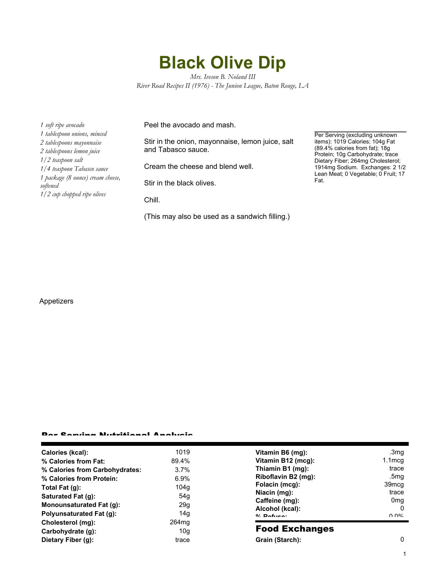## **Black Olive Dip**

*Mrs. Iveson B. Noland III River Road Recipes II (1976) - The Junion League, Baton Rouge, LA*

*1 soft ripe avocado 1 tablespoon onions, minced 2 tablespoons mayonnaise 2 tablespoons lemon juice 1/2 teaspoon salt 1/4 teaspoon Tabasco sauce 1 package (8 ounce) cream cheese, softened 1/2 cup chopped ripe olives*

Peel the avocado and mash.

Stir in the onion, mayonnaise, lemon juice, salt and Tabasco sauce.

Cream the cheese and blend well.

Stir in the black olives.

Chill.

(This may also be used as a sandwich filling.)

Per Serving (excluding unknown items): 1019 Calories; 104g Fat (89.4% calories from fat); 18g Protein; 10g Carbohydrate; trace Dietary Fiber; 264mg Cholesterol; 1914mg Sodium. Exchanges: 2 1/2 Lean Meat; 0 Vegetable; 0 Fruit; 17 Fat.

## Appetizers

## Per Serving Nutritional Analysis

| Calories (kcal):                | 1019              | Vitamin B6 (mg):                                                                                             | .3mg              |
|---------------------------------|-------------------|--------------------------------------------------------------------------------------------------------------|-------------------|
| % Calories from Fat:            | 89.4%             | Vitamin B12 (mcg):                                                                                           | $1.1 \text{mcg}$  |
| % Calories from Carbohydrates:  | $3.7\%$           | Thiamin B1 (mg):                                                                                             | trace             |
| % Calories from Protein:        | $6.9\%$           | Riboflavin B2 (mg):<br>Folacin (mcg):<br>Niacin (mg):<br>Caffeine (mg):<br>Alcohol (kcal):<br>$0/2$ Pofileo: | .5mg              |
| Total Fat (q):                  | 104q              |                                                                                                              | 39 <sub>mcg</sub> |
| Saturated Fat (g):              | 54g               |                                                                                                              | trace             |
| <b>Monounsaturated Fat (g):</b> | 29q               |                                                                                                              | 0 <sub>mq</sub>   |
| <b>Polyunsaturated Fat (g):</b> | 14 <sub>g</sub>   |                                                                                                              | 0<br>በ በ%         |
| Cholesterol (mg):               | 264 <sub>mq</sub> |                                                                                                              |                   |
| Carbohydrate (g):               | 10 <sub>g</sub>   | <b>Food Exchanges</b>                                                                                        |                   |
| Dietary Fiber (g):              | trace             | Grain (Starch):                                                                                              | $\Omega$          |
|                                 |                   |                                                                                                              |                   |